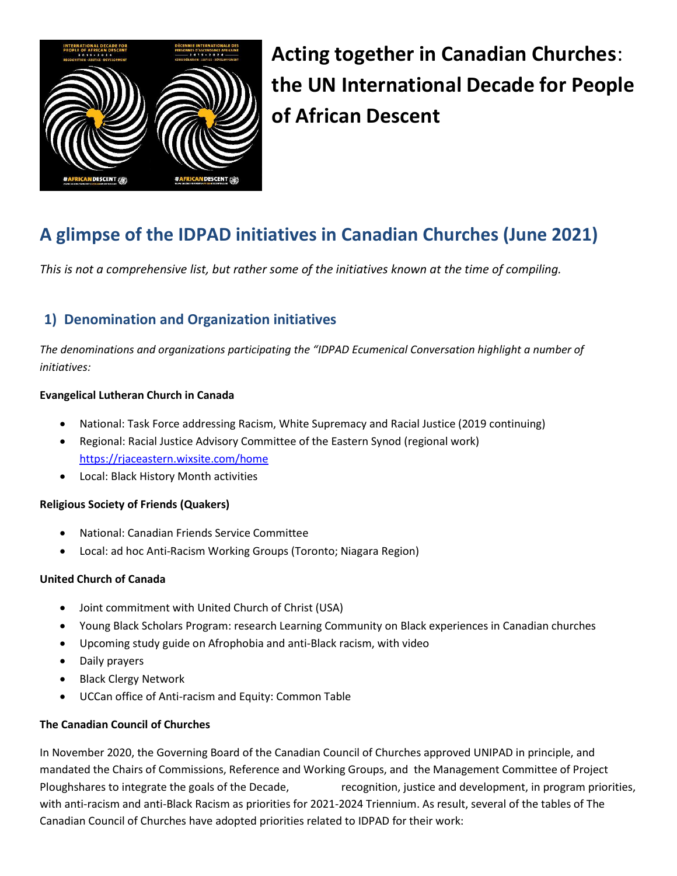

Acting together in Canadian Churches: the UN International Decade for People of African Descent

# A glimpse of the IDPAD initiatives in Canadian Churches (June 2021)

This is not a comprehensive list, but rather some of the initiatives known at the time of compiling.

# 1) Denomination and Organization initiatives

The denominations and organizations participating the "IDPAD Ecumenical Conversation highlight a number of initiatives:

## Evangelical Lutheran Church in Canada

- National: Task Force addressing Racism, White Supremacy and Racial Justice (2019 continuing)
- Regional: Racial Justice Advisory Committee of the Eastern Synod (regional work) https://rjaceastern.wixsite.com/home
- Local: Black History Month activities

## Religious Society of Friends (Quakers)

- National: Canadian Friends Service Committee
- Local: ad hoc Anti-Racism Working Groups (Toronto; Niagara Region)

#### United Church of Canada

- Joint commitment with United Church of Christ (USA)
- Young Black Scholars Program: research Learning Community on Black experiences in Canadian churches
- Upcoming study guide on Afrophobia and anti-Black racism, with video
- Daily prayers
- Black Clergy Network
- UCCan office of Anti-racism and Equity: Common Table

#### The Canadian Council of Churches

In November 2020, the Governing Board of the Canadian Council of Churches approved UNIPAD in principle, and mandated the Chairs of Commissions, Reference and Working Groups, and the Management Committee of Project Ploughshares to integrate the goals of the Decade, recognition, justice and development, in program priorities, with anti-racism and anti-Black Racism as priorities for 2021-2024 Triennium. As result, several of the tables of The Canadian Council of Churches have adopted priorities related to IDPAD for their work: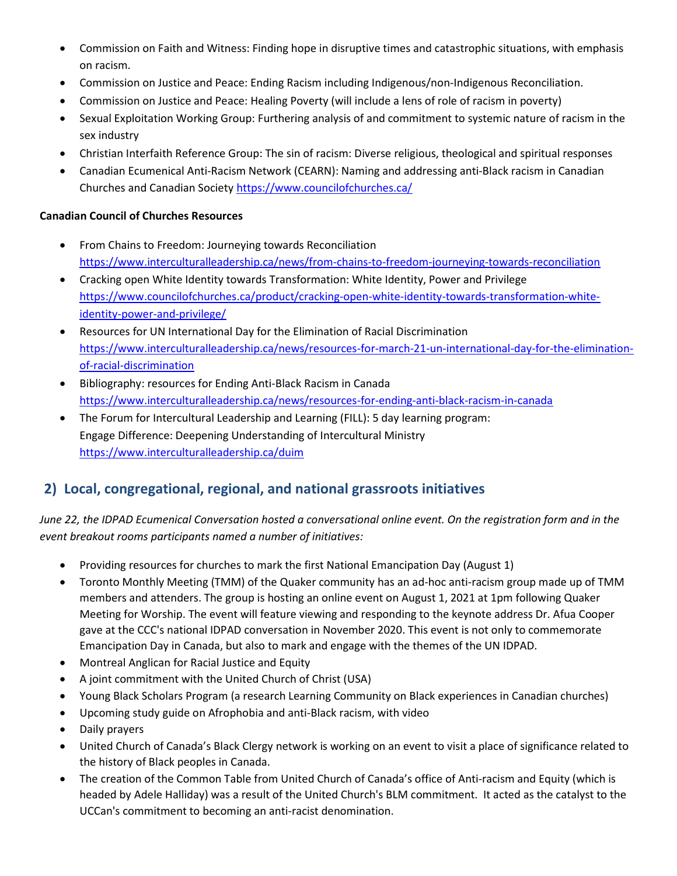- Commission on Faith and Witness: Finding hope in disruptive times and catastrophic situations, with emphasis on racism.
- Commission on Justice and Peace: Ending Racism including Indigenous/non-Indigenous Reconciliation.
- Commission on Justice and Peace: Healing Poverty (will include a lens of role of racism in poverty)
- Sexual Exploitation Working Group: Furthering analysis of and commitment to systemic nature of racism in the sex industry
- Christian Interfaith Reference Group: The sin of racism: Diverse religious, theological and spiritual responses
- Canadian Ecumenical Anti-Racism Network (CEARN): Naming and addressing anti-Black racism in Canadian Churches and Canadian Society https://www.councilofchurches.ca/

## Canadian Council of Churches Resources

- From Chains to Freedom: Journeying towards Reconciliation https://www.interculturalleadership.ca/news/from-chains-to-freedom-journeying-towards-reconciliation
- Cracking open White Identity towards Transformation: White Identity, Power and Privilege https://www.councilofchurches.ca/product/cracking-open-white-identity-towards-transformation-whiteidentity-power-and-privilege/
- Resources for UN International Day for the Elimination of Racial Discrimination https://www.interculturalleadership.ca/news/resources-for-march-21-un-international-day-for-the-eliminationof-racial-discrimination
- Bibliography: resources for Ending Anti-Black Racism in Canada https://www.interculturalleadership.ca/news/resources-for-ending-anti-black-racism-in-canada
- The Forum for Intercultural Leadership and Learning (FILL): 5 day learning program: Engage Difference: Deepening Understanding of Intercultural Ministry https://www.interculturalleadership.ca/duim

# 2) Local, congregational, regional, and national grassroots initiatives

June 22, the IDPAD Ecumenical Conversation hosted a conversational online event. On the registration form and in the event breakout rooms participants named a number of initiatives:

- Providing resources for churches to mark the first National Emancipation Day (August 1)
- Toronto Monthly Meeting (TMM) of the Quaker community has an ad-hoc anti-racism group made up of TMM members and attenders. The group is hosting an online event on August 1, 2021 at 1pm following Quaker Meeting for Worship. The event will feature viewing and responding to the keynote address Dr. Afua Cooper gave at the CCC's national IDPAD conversation in November 2020. This event is not only to commemorate Emancipation Day in Canada, but also to mark and engage with the themes of the UN IDPAD.
- Montreal Anglican for Racial Justice and Equity
- A joint commitment with the United Church of Christ (USA)
- Young Black Scholars Program (a research Learning Community on Black experiences in Canadian churches)
- Upcoming study guide on Afrophobia and anti-Black racism, with video
- Daily prayers
- United Church of Canada's Black Clergy network is working on an event to visit a place of significance related to the history of Black peoples in Canada.
- The creation of the Common Table from United Church of Canada's office of Anti-racism and Equity (which is headed by Adele Halliday) was a result of the United Church's BLM commitment. It acted as the catalyst to the UCCan's commitment to becoming an anti-racist denomination.